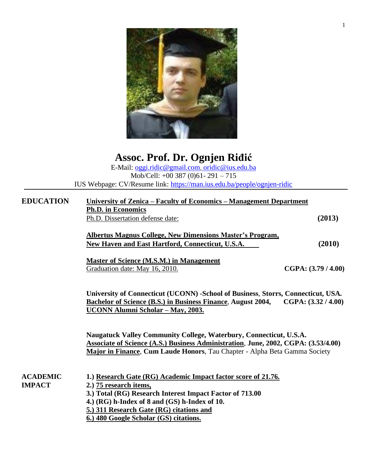

| Assoc. Prof. Dr. Ognjen Riđić                                           |
|-------------------------------------------------------------------------|
| E-Mail: oggi.ridic@gmail.com, oridic@ius.edu.ba                         |
| Mob/Cell: $+00$ 387 (0)61- 291 - 715                                    |
| IUS Webpage: CV/Resume link: https://man.ius.edu.ba/people/ognjen-ridic |
|                                                                         |

| <b>EDUCATION</b>                 | University of Zenica – Faculty of Economics – Management Department                                                                                                                                                                                                                        |                     |  |
|----------------------------------|--------------------------------------------------------------------------------------------------------------------------------------------------------------------------------------------------------------------------------------------------------------------------------------------|---------------------|--|
|                                  | <b>Ph.D.</b> in Economics                                                                                                                                                                                                                                                                  |                     |  |
|                                  | Ph.D. Dissertation defense date:                                                                                                                                                                                                                                                           | (2013)              |  |
|                                  | <b>Albertus Magnus College, New Dimensions Master's Program,</b><br>New Haven and East Hartford, Connecticut, U.S.A.                                                                                                                                                                       | (2010)              |  |
|                                  | <b>Master of Science (M.S.M.) in Management</b><br>Graduation date: May 16, 2010.                                                                                                                                                                                                          | CGPA: (3.79 / 4.00) |  |
|                                  | University of Connecticut (UCONN) -School of Business, Storrs, Connecticut, USA.<br><b>Bachelor of Science (B.S.) in Business Finance, August 2004,</b><br>UCONN Alumni Scholar - May, 2003.                                                                                               | CGPA: (3.32 / 4.00) |  |
|                                  | Naugatuck Valley Community College, Waterbury, Connecticut, U.S.A.<br><b>Associate of Science (A.S.) Business Administration, June, 2002, CGPA: (3.53/4.00)</b><br>Major in Finance, Cum Laude Honors, Tau Chapter - Alpha Beta Gamma Society                                              |                     |  |
| <b>ACADEMIC</b><br><b>IMPACT</b> | 1.) Research Gate (RG) Academic Impact factor score of 21.76.<br>2.) 75 research items,<br>3.) Total (RG) Research Interest Impact Factor of 713.00<br>4.) (RG) h-Index of 8 and (GS) h-Index of 10.<br>5.) 311 Research Gate (RG) citations and<br>6.) 480 Google Scholar (GS) citations. |                     |  |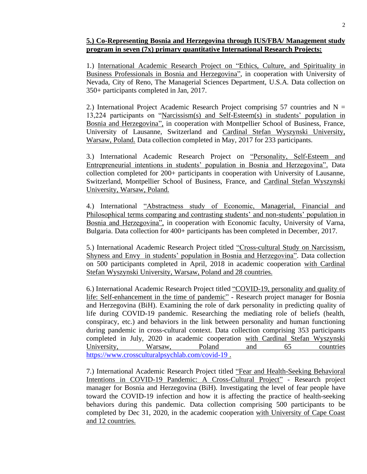### **5.) Co-Representing Bosnia and Herzegovina through IUS/FBA/ Management study program in seven (7x) primary quantitative International Research Projects:**

1.) International Academic Research Project on "Ethics, Culture, and Spirituality in Business Professionals in Bosnia and Herzegovina", in cooperation with University of Nevada, City of Reno, The Managerial Sciences Department, U.S.A. Data collection on 350+ participants completed in Jan, 2017.

2.) International Project Academic Research Project comprising 57 countries and  $N =$ 13,224 participants on "Narcissism(s) and Self-Esteem(s) in students' population in Bosnia and Herzegovina", in cooperation with Montpellier School of Business, France, University of Lausanne, Switzerland and Cardinal Stefan Wyszynski University, Warsaw, Poland. Data collection completed in May, 2017 for 233 participants.

3.) International Academic Research Project on "Personality, Self-Esteem and Entrepreneurial intentions in students' population in Bosnia and Herzegovina". Data collection completed for 200+ participants in cooperation with University of Lausanne, Switzerland, Montpellier School of Business, France, and Cardinal Stefan Wyszynski University, Warsaw, Poland.

4.) International "Abstractness study of Economic, Managerial, Financial and Philosophical terms comparing and contrasting students' and non-students' population in Bosnia and Herzegovina", in cooperation with Economic faculty, University of Varna, Bulgaria. Data collection for 400+ participants has been completed in December, 2017.

5.) International Academic Research Project titled "Cross-cultural Study on Narcissism, Shyness and Envy in students' population in Bosnia and Herzegovina". Data collection on 500 participants completed in April, 2018 in academic cooperation with Cardinal Stefan Wyszynski University, Warsaw, Poland and 28 countries.

6.) International Academic Research Project titled "COVID-19, personality and quality of life: Self-enhancement in the time of pandemic" - Research project manager for Bosnia and Herzegovina (BiH). Examining the role of dark personality in predicting quality of life during COVID-19 pandemic. Researching the mediating role of beliefs (health, conspiracy, etc.) and behaviors in the link between personality and human functioning during pandemic in cross-cultural context. Data collection comprising 353 participants completed in July, 2020 in academic cooperation with Cardinal Stefan Wyszynski University, Warsaw, Poland and 65 countries <https://www.crossculturalpsychlab.com/covid-19> .

7.) International Academic Research Project titled "Fear and Health-Seeking Behavioral Intentions in COVID-19 Pandemic: A Cross-Cultural Project" - Research project manager for Bosnia and Herzegovina (BiH). Investigating the level of fear people have toward the COVID-19 infection and how it is affecting the practice of health-seeking behaviors during this pandemic. Data collection comprising 500 participants to be completed by Dec 31, 2020, in the academic cooperation with University of Cape Coast and 12 countries.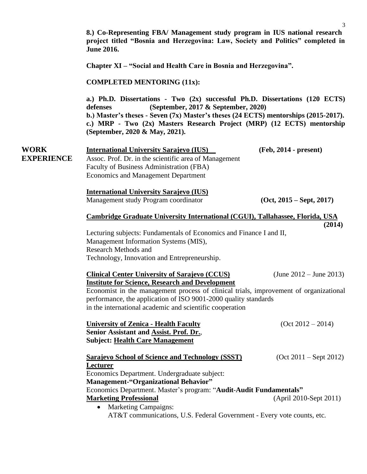**8.) Co-Representing FBA/ Management study program in IUS national research project titled "Bosnia and Herzegovina: Law, Society and Politics" completed in June 2016.**

**Chapter XI – "Social and Health Care in Bosnia and Herzegovina".** 

#### **COMPLETED MENTORING (11x):**

**a.) Ph.D. Dissertations - Two (2x) successful Ph.D. Dissertations (120 ECTS) defenses (September, 2017 & September, 2020) b.) Master's theses - Seven (7x) Master's theses (24 ECTS) mentorships (2015-2017). c.) MRP - Two (2x) Masters Research Project (MRP) (12 ECTS) mentorship (September, 2020 & May, 2021).**

| <b>WORK</b>       | <b>International University Sarajevo (IUS)</b>        | $(Feb, 2014 - present)$ |
|-------------------|-------------------------------------------------------|-------------------------|
| <b>EXPERIENCE</b> | Assoc. Prof. Dr. in the scientific area of Management |                         |
|                   | Faculty of Business Administration (FBA)              |                         |
|                   | <b>Economics and Management Department</b>            |                         |

**International University Sarajevo (IUS)** Management study Program coordinator **(Oct, 2015 – Sept, 2017)**

**(2014)**

#### **Cambridge Graduate University International (CGUI), Tallahassee, Florida, USA**

Lecturing subjects: Fundamentals of Economics and Finance I and II, Management Information Systems (MIS), Research Methods and Technology, Innovation and Entrepreneurship.

| <b>Clinical Center University of Sarajevo (CCUS)</b>                                                                                                                                                                 | (June $2012 -$ June 2013) |
|----------------------------------------------------------------------------------------------------------------------------------------------------------------------------------------------------------------------|---------------------------|
| <b>Institute for Science, Research and Development</b>                                                                                                                                                               |                           |
| Economist in the management process of clinical trials, improvement of organizational<br>performance, the application of ISO 9001-2000 quality standards<br>in the international academic and scientific cooperation |                           |
|                                                                                                                                                                                                                      |                           |

| <b>University of Zenica - Health Faculty</b>   | $(Oct 2012 - 2014)$ |
|------------------------------------------------|---------------------|
| <b>Senior Assistant and Assist. Prof. Dr.,</b> |                     |
| Subject: Health Care Management                |                     |

| <b>Sarajevo School of Science and Technology (SSST)</b>            | $(Oct 2011 - Sept 2012)$ |
|--------------------------------------------------------------------|--------------------------|
| Lecturer                                                           |                          |
| Economics Department. Undergraduate subject:                       |                          |
| <b>Management-"Organizational Behavior"</b>                        |                          |
| Economics Department. Master's program: "Audit-Audit Fundamentals" |                          |
| <b>Marketing Professional</b>                                      | (April 2010-Sept 2011)   |
| <b>Marketing Campaigns:</b><br>$\bullet$                           |                          |

AT&T communications, U.S. Federal Government - Every vote counts, etc.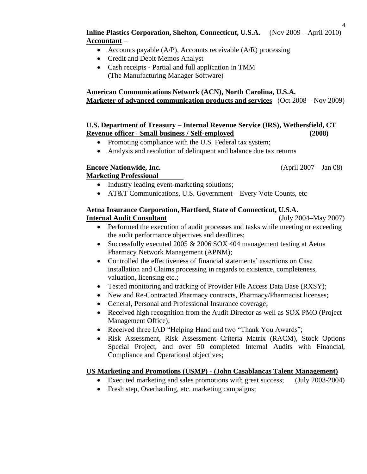- Accounts payable  $(A/P)$ , Accounts receivable  $(A/R)$  processing
- Credit and Debit Memos Analyst
- Cash receipts Partial and full application in TMM (The Manufacturing Manager Software)

# **American Communications Network (ACN), North Carolina, U.S.A. Marketer of advanced communication products and services** (Oct 2008 – Nov 2009)

#### **U.S. Department of Treasury – Internal Revenue Service (IRS), Wethersfield, CT Revenue officer –Small business / Self-employed (2008)**

- Promoting compliance with the U.S. Federal tax system;
- Analysis and resolution of delinquent and balance due tax returns

# **Encore Nationwide, Inc.** (April 2007 – Jan 08)

# **Marketing Professional**

- Industry leading event-marketing solutions;
- AT&T Communications, U.S. Government Every Vote Counts, etc

#### **Aetna Insurance Corporation, Hartford, State of Connecticut, U.S.A. Internal Audit Consultant** (July 2004–May 2007)

- Performed the execution of audit processes and tasks while meeting or exceeding the audit performance objectives and deadlines;
- Successfully executed 2005 & 2006 SOX 404 management testing at Aetna Pharmacy Network Management (APNM);
- Controlled the effectiveness of financial statements' assertions on Case installation and Claims processing in regards to existence, completeness, valuation, licensing etc.;
- Tested monitoring and tracking of Provider File Access Data Base (RXSY);
- New and Re-Contracted Pharmacy contracts, Pharmacy/Pharmacist licenses;
- General, Personal and Professional Insurance coverage;
- Received high recognition from the Audit Director as well as SOX PMO (Project Management Office);
- Received three IAD "Helping Hand and two "Thank You Awards";
- Risk Assessment, Risk Assessment Criteria Matrix (RACM), Stock Options Special Project, and over 50 completed Internal Audits with Financial, Compliance and Operational objectives;

### **US Marketing and Promotions (USMP) - (John Casablancas Talent Management)**

- Executed marketing and sales promotions with great success; (July 2003-2004)
- Fresh step, Overhauling, etc. marketing campaigns;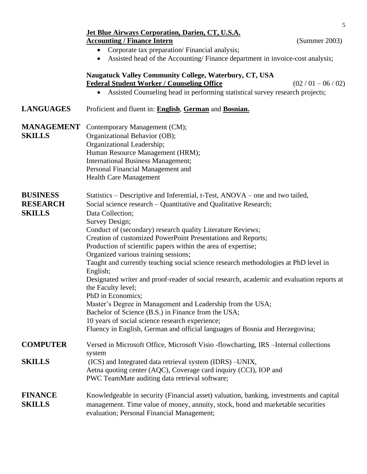|                                                     | 5<br><b>Jet Blue Airways Corporation, Darien, CT, U.S.A.</b><br><b>Accounting / Finance Intern</b><br>(Summer 2003)<br>Corporate tax preparation/ Financial analysis;<br>$\bullet$<br>Assisted head of the Accounting/Finance department in invoice-cost analysis;<br>$\bullet$                                                                                                                                                                                                                                                                                                                                                                                                                                                                                                                                                                                                                                                    |
|-----------------------------------------------------|------------------------------------------------------------------------------------------------------------------------------------------------------------------------------------------------------------------------------------------------------------------------------------------------------------------------------------------------------------------------------------------------------------------------------------------------------------------------------------------------------------------------------------------------------------------------------------------------------------------------------------------------------------------------------------------------------------------------------------------------------------------------------------------------------------------------------------------------------------------------------------------------------------------------------------|
|                                                     | Naugatuck Valley Community College, Waterbury, CT, USA<br><b>Federal Student Worker / Counseling Office</b><br>$(02/01 - 06/02)$<br>Assisted Counseling head in performing statistical survey research projects;<br>$\bullet$                                                                                                                                                                                                                                                                                                                                                                                                                                                                                                                                                                                                                                                                                                      |
| <b>LANGUAGES</b>                                    | Proficient and fluent in: English, German and Bosnian.                                                                                                                                                                                                                                                                                                                                                                                                                                                                                                                                                                                                                                                                                                                                                                                                                                                                             |
| <b>MANAGEMENT</b><br><b>SKILLS</b>                  | Contemporary Management (CM);<br>Organizational Behavior (OB);<br>Organizational Leadership;<br>Human Resource Management (HRM);<br><b>International Business Management;</b><br>Personal Financial Management and<br><b>Health Care Management</b>                                                                                                                                                                                                                                                                                                                                                                                                                                                                                                                                                                                                                                                                                |
| <b>BUSINESS</b><br><b>RESEARCH</b><br><b>SKILLS</b> | Statistics – Descriptive and Inferential, t-Test, ANOVA – one and two tailed,<br>Social science research - Quantitative and Qualitative Research;<br>Data Collection;<br>Survey Design;<br>Conduct of (secondary) research quality Literature Reviews;<br>Creation of customized PowerPoint Presentations and Reports;<br>Production of scientific papers within the area of expertise;<br>Organized various training sessions;<br>Taught and currently teaching social science research methodologies at PhD level in<br>English;<br>Designated writer and proof-reader of social research, academic and evaluation reports at<br>the Faculty level;<br>PhD in Economics;<br>Master's Degree in Management and Leadership from the USA;<br>Bachelor of Science (B.S.) in Finance from the USA;<br>10 years of social science research experience;<br>Fluency in English, German and official languages of Bosnia and Herzegovina; |
| <b>COMPUTER</b>                                     | Versed in Microsoft Office, Microsoft Visio -flowcharting, IRS - Internal collections<br>system                                                                                                                                                                                                                                                                                                                                                                                                                                                                                                                                                                                                                                                                                                                                                                                                                                    |
| <b>SKILLS</b>                                       | (ICS) and Integrated data retrieval system (IDRS) - UNIX,<br>Aetna quoting center (AQC), Coverage card inquiry (CCI), IOP and<br>PWC TeamMate auditing data retrieval software;                                                                                                                                                                                                                                                                                                                                                                                                                                                                                                                                                                                                                                                                                                                                                    |
| <b>FINANCE</b><br><b>SKILLS</b>                     | Knowledgeable in security (Financial asset) valuation, banking, investments and capital<br>management. Time value of money, annuity, stock, bond and marketable securities<br>evaluation; Personal Financial Management;                                                                                                                                                                                                                                                                                                                                                                                                                                                                                                                                                                                                                                                                                                           |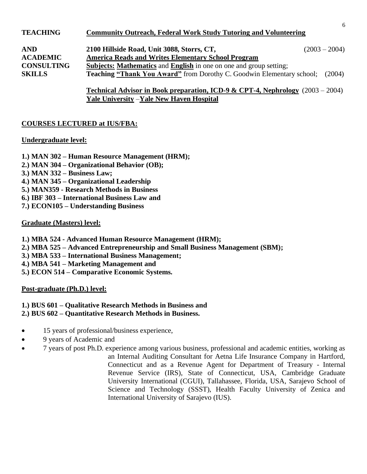| <b>TEACHING</b>   | <b>Community Outreach, Federal Work Study Tutoring and Volunteering</b>      |                 |
|-------------------|------------------------------------------------------------------------------|-----------------|
| <b>AND</b>        | 2100 Hillside Road, Unit 3088, Storrs, CT,                                   | $(2003 - 2004)$ |
| <b>ACADEMIC</b>   | <b>America Reads and Writes Elementary School Program</b>                    |                 |
| <b>CONSULTING</b> | <b>Subjects: Mathematics and English in one on one and group setting;</b>    |                 |
| <b>SKILLS</b>     | <b>Teaching "Thank You Award"</b> from Dorothy C. Goodwin Elementary school; | (2004)          |
|                   |                                                                              |                 |

**Technical Advisor in Book preparation, ICD-9 & CPT-4, Nephrology** (2003 – 2004) **Yale University** –**Yale New Haven Hospital**

# **COURSES LECTURED at IUS/FBA:**

#### **Undergraduate level:**

- **1.) MAN 302 – Human Resource Management (HRM);**
- **2.) MAN 304 – Organizational Behavior (OB);**
- **3.) MAN 332 – Business Law;**
- **4.) MAN 345 – Organizational Leadership**
- **5.) MAN359 - Research Methods in Business**
- **6.) IBF 303 – International Business Law and**
- **7.) ECON105 – Understanding Business**

### **Graduate (Masters) level:**

- **1.) MBA 524 - Advanced Human Resource Management (HRM);**
- **2.) MBA 525 – Advanced Entrepreneurship and Small Business Management (SBM);**
- **3.) MBA 533 – International Business Management;**
- **4.) MBA 541 – Marketing Management and**
- **5.) ECON 514 – Comparative Economic Systems.**

### **Post-graduate (Ph.D.) level:**

# **1.) BUS 601 – Qualitative Research Methods in Business and**

- **2.) BUS 602 – Quantitative Research Methods in Business.**
- 15 years of professional/business experience,
- 9 years of Academic and
- 7 years of post Ph.D. experience among various business, professional and academic entities, working as an Internal Auditing Consultant for Aetna Life Insurance Company in Hartford, Connecticut and as a Revenue Agent for Department of Treasury - Internal Revenue Service (IRS), State of Connecticut, USA, Cambridge Graduate University International (CGUI), Tallahassee, Florida, USA, Sarajevo School of Science and Technology (SSST), Health Faculty University of Zenica and International University of Sarajevo (IUS).